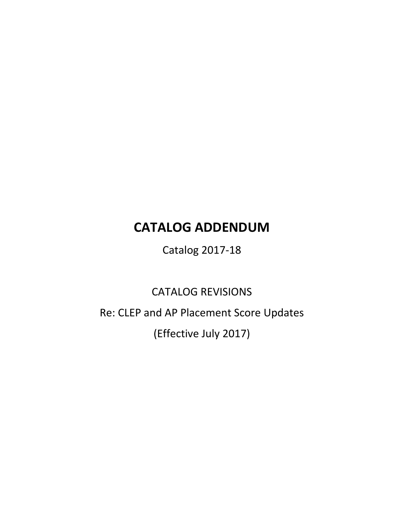# **CATALOG ADDENDUM**

Catalog 2017-18

CATALOG REVISIONS

Re: CLEP and AP Placement Score Updates

(Effective July 2017)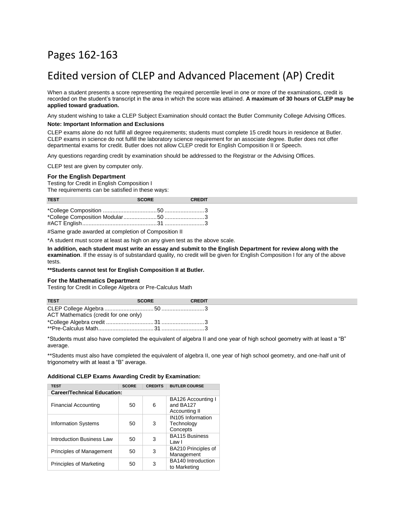# Pages 162-163

# Edited version of CLEP and Advanced Placement (AP) Credit

When a student presents a score representing the required percentile level in one or more of the examinations, credit is recorded on the student's transcript in the area in which the score was attained. **A maximum of 30 hours of CLEP may be applied toward graduation.**

Any student wishing to take a CLEP Subject Examination should contact the Butler Community College Advising Offices.

#### **Note: Important Information and Exclusions**

CLEP exams alone do not fulfill all degree requirements; students must complete 15 credit hours in residence at Butler. CLEP exams in science do not fulfill the laboratory science requirement for an associate degree. Butler does not offer departmental exams for credit. Butler does not allow CLEP credit for English Composition II or Speech.

Any questions regarding credit by examination should be addressed to the Registrar or the Advising Offices.

CLEP test are given by computer only.

#### **For the English Department**

Testing for Credit in English Composition I

The requirements can be satisfied in these ways:

| <b>TEST</b> | <b>SCORE</b> | <b>CREDIT</b> |
|-------------|--------------|---------------|
|             |              |               |

#Same grade awarded at completion of Composition II

\*A student must score at least as high on any given test as the above scale.

**In addition, each student must write an essay and submit to the English Department for review along with the examination**. If the essay is of substandard quality, no credit will be given for English Composition I for any of the above tests.

**\*\*Students cannot test for English Composition II at Butler.**

## **For the Mathematics Department**

Testing for Credit in College Algebra or Pre-Calculus Math

| <b>SCORE</b> | <b>CREDIT</b>                         |
|--------------|---------------------------------------|
|              |                                       |
|              |                                       |
|              |                                       |
|              |                                       |
|              | ACT Mathematics (credit for one only) |

\*Students must also have completed the equivalent of algebra II and one year of high school geometry with at least a "B" average.

\*\*Students must also have completed the equivalent of algebra II, one year of high school geometry, and one-half unit of trigonometry with at least a "B" average.

#### **Additional CLEP Exams Awarding Credit by Examination:**

| <b>TEST</b>                        | <b>SCORE</b> | <b>CREDITS</b> | <b>BUTLER COURSE</b>                             |  |  |
|------------------------------------|--------------|----------------|--------------------------------------------------|--|--|
| <b>Career/Technical Education:</b> |              |                |                                                  |  |  |
| <b>Financial Accounting</b>        | 50           | 6              | BA126 Accounting I<br>and BA127<br>Accounting II |  |  |
| <b>Information Systems</b>         | 50           | 3              | IN105 Information<br>Technology<br>Concepts      |  |  |
| Introduction Business Law          | 50           | 3              | <b>BA115 Business</b><br>Law I                   |  |  |
| Principles of Management           | 50           | 3              | BA210 Principles of<br>Management                |  |  |
| Principles of Marketing            | 50           | 3              | BA140 Introduction<br>to Marketing               |  |  |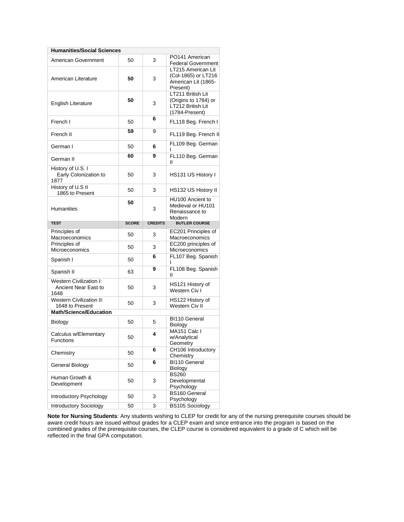| <b>Humanities/Social Sciences</b>                       |              |                |                                                                                  |  |  |
|---------------------------------------------------------|--------------|----------------|----------------------------------------------------------------------------------|--|--|
| American Government                                     | 50           | 3              | PO141 American<br><b>Federal Government</b>                                      |  |  |
| American Literature                                     | 50           | 3              | LT215 American Lit<br>(Col-1865) or LT216<br>American Lit (1865-<br>Present)     |  |  |
| <b>English Literature</b>                               | 50           | 3              | LT211 British Lit<br>(Origins to 1784) or<br>LT212 British Lit<br>(1784-Present) |  |  |
| French I                                                | 50           | 6              | FL118 Beg. French I                                                              |  |  |
| French II                                               | 59           | 9              | FL119 Beg. French II                                                             |  |  |
| German I                                                | 50           | 6              | FL109 Beg. German                                                                |  |  |
| German II                                               | 60           | 9              | FL110 Beg. German<br>II                                                          |  |  |
| History of U.S. I<br>Early Colonization to<br>1877      | 50           | 3              | HS131 US History I                                                               |  |  |
| History of U.S II<br>1865 to Present                    | 50           | 3              | HS132 US History II                                                              |  |  |
| <b>Humanities</b>                                       | 50           | 3              | HU100 Ancient to<br>Medieval or HU101<br>Renaissance to<br>Modern                |  |  |
| <b>TEST</b>                                             | <b>SCORE</b> | <b>CREDITS</b> | <b>BUTLER COURSE</b>                                                             |  |  |
|                                                         |              |                |                                                                                  |  |  |
| Principles of<br>Macroeconomics                         | 50           | 3              | EC201 Principles of<br>Macroeconomics                                            |  |  |
| Principles of<br>Microeconomics                         | 50           | 3              | EC200 principles of<br>Microeconomics                                            |  |  |
| Spanish I                                               | 50           | 6              | FL107 Beg. Spanish<br>ı                                                          |  |  |
| Spanish II                                              | 63           | 9              | FL108 Beg. Spanish<br>Ш                                                          |  |  |
| Western Civilization I:<br>Ancient Near East to<br>1648 | 50           | 3              | HS121 History of<br>Western Civ I                                                |  |  |
| <b>Western Civilization II:</b><br>1648 to Present      | 50           | 3              | HS122 History of<br>Western Civ II                                               |  |  |
| <b>Math/Science/Education</b>                           |              |                |                                                                                  |  |  |
| Biology                                                 | 50           | 5              | <b>BI110 General</b><br>Biology                                                  |  |  |
| Calculus w/Elementary<br>Functions                      | 50           | 4              | MA151 Calc I<br>w/Analytical                                                     |  |  |
| Chemistry                                               | 50           | 6              | Geometry<br>CH106 Introductory<br>Chemistry                                      |  |  |
| General Biology                                         | 50           | 6              | BI110 General<br>Biology                                                         |  |  |
| Human Growth &<br>Development                           | 50           | 3              | <b>BS260</b><br>Developmental<br>Psychology                                      |  |  |
| Introductory Psychology                                 | 50           | 3              | <b>BS160 General</b><br>Psychology                                               |  |  |

**Note for Nursing Students**: Any students wishing to CLEP for credit for any of the nursing prerequisite courses should be aware credit hours are issued without grades for a CLEP exam and since entrance into the program is based on the combined grades of the prerequisite courses, the CLEP course is considered equivalent to a grade of C which will be reflected in the final GPA computation.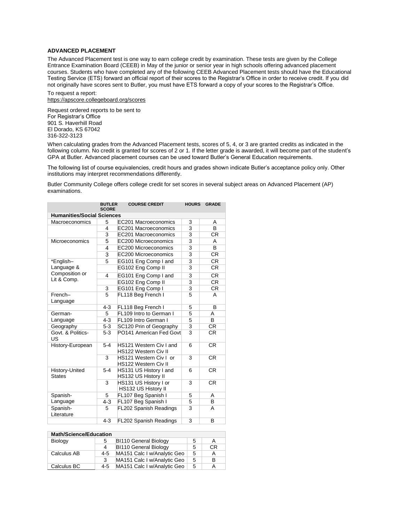## **ADVANCED PLACEMENT**

The Advanced Placement test is one way to earn college credit by examination. These tests are given by the College Entrance Examination Board (CEEB) in May of the junior or senior year in high schools offering advanced placement courses. Students who have completed any of the following CEEB Advanced Placement tests should have the Educational Testing Service (ETS) forward an official report of their scores to the Registrar's Office in order to receive credit. If you did not originally have scores sent to Butler, you must have ETS forward a copy of your scores to the Registrar's Office.

To request a report: https://apscore.collegeboard.org/scores

Request ordered reports to be sent to For Registrar's Office 901 S. Haverhill Road El Dorado, KS 67042 316-322-3123

When calculating grades from the Advanced Placement tests, scores of 5, 4, or 3 are granted credits as indicated in the following column. No credit is granted for scores of 2 or 1. If the letter grade is awarded, it will become part of the student's GPA at Butler. Advanced placement courses can be used toward Butler's General Education requirements.

The following list of course equivalencies, credit hours and grades shown indicate Butler's acceptance policy only. Other institutions may interpret recommendations differently.

Butler Community College offers college credit for set scores in several subject areas on Advanced Placement (AP) examinations.

|                                   | <b>BUTLER</b><br><b>SCORE</b> | <b>COURSE CREDIT</b>                                         | <b>HOURS</b>            | <b>GRADE</b> |  |  |
|-----------------------------------|-------------------------------|--------------------------------------------------------------|-------------------------|--------------|--|--|
| <b>Humanities/Social Sciences</b> |                               |                                                              |                         |              |  |  |
| Macroeconomics                    | 5                             | EC201 Macroeconomics                                         | 3                       | A            |  |  |
|                                   | 4                             | EC201 Macroeconomics                                         | 3                       | <sub>B</sub> |  |  |
|                                   | 3                             | EC201 Macroeconomics                                         | 3                       | CR.          |  |  |
| Microeconomics                    | 5                             | EC200 Microeconomics                                         | 3                       | A            |  |  |
|                                   | 4                             | EC200 Microeconomics                                         | 3                       | <sub>B</sub> |  |  |
|                                   | 3                             | EC200 Microeconomics                                         | 3                       | CR.          |  |  |
| *English-                         | 5                             | EG101 Eng Comp I and                                         | 3                       | <b>CR</b>    |  |  |
| Language &                        |                               | EG102 Eng Comp II                                            | 3                       | <b>CR</b>    |  |  |
| Composition or<br>Lit & Comp.     | 4                             | EG101 Eng Comp I and                                         | 3                       | CR.          |  |  |
|                                   |                               | EG102 Eng Comp II                                            | $\overline{3}$          | CR           |  |  |
|                                   | 3                             | EG101 Eng Comp I                                             | 3                       | <b>CR</b>    |  |  |
| French-<br>Language               | 5                             | FL118 Beg French I                                           | 5                       | A            |  |  |
|                                   | $4 - 3$                       | FL118 Beg French I                                           | 5                       | B            |  |  |
| German-                           | 5                             | FL109 Intro to German I                                      | 5                       | A            |  |  |
| Language                          | $4 - 3$                       | FL109 Intro German I                                         | 5                       | B            |  |  |
| Geography                         | $5-3$                         | SC120 Prin of Geography                                      | 3                       | <b>CR</b>    |  |  |
| Govt. & Politics-<br>US           | $5-3$                         | PO141 American Fed Govt                                      | $\overline{\mathbf{3}}$ | CR.          |  |  |
| History-European                  | $5-4$                         | <b>HS121 Western Civ Land</b><br><b>HS122 Western Civ II</b> | 6                       | <b>CR</b>    |  |  |
|                                   | 3                             | HS121 Western Civ I or<br><b>HS122 Western Civ II</b>        | 3                       | <b>CR</b>    |  |  |
| History-United<br><b>States</b>   | $5-4$                         | HS131 US History I and<br>HS132 US History II                | 6                       | <b>CR</b>    |  |  |
|                                   | 3                             | HS131 US History I or<br>HS132 US History II                 | 3                       | <b>CR</b>    |  |  |
| Spanish-                          | 5                             | FL107 Beg Spanish I                                          | 5                       | A            |  |  |
| Language                          | $4 - 3$                       | FL107 Beg Spanish I                                          | 5                       | B            |  |  |
| Spanish-<br>Literature            | 5                             | <b>FL202 Spanish Readings</b>                                | 3                       | A            |  |  |
|                                   | $4 - 3$                       | <b>FL202 Spanish Readings</b>                                | 3                       | B            |  |  |

| <b>Math/Science/Education</b> |         |                              |   |    |
|-------------------------------|---------|------------------------------|---|----|
| Biology                       | 5       | <b>BI110 General Biology</b> | 5 | A  |
|                               | 4       | BI110 General Biology        | 5 | СR |
| Calculus AB                   | $4-5$   | MA151 Calc I w/Analytic Geo  | 5 | А  |
|                               | 3       | MA151 Calc I w/Analytic Geo  | 5 | в  |
| Calculus BC                   | $4 - 5$ | MA151 Calc I w/Analytic Geo  | 5 | А  |